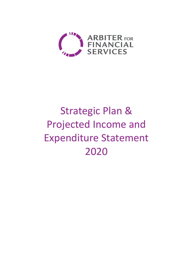

# Strategic Plan & Projected Income and Expenditure Statement 2020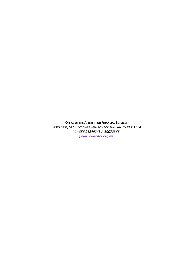**OFFICE OF THE ARBITER FOR FINANCIAL SERVICES**

*FIRST FLOOR, ST CALCEDONIES SQUARE, FLORIANA FRN 1530 MALTA V: +356 21249245 / 80072366 financialarbiter.org.mt*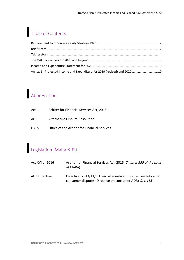# Table of Contents

| Annex 1 - Projected Income and Expenditure for 2019 (revised) and 2020 10 |
|---------------------------------------------------------------------------|
|                                                                           |

# Abbreviations

| Act         | Arbiter for Financial Services Act, 2016     |
|-------------|----------------------------------------------|
| ADR         | Alternative Dispute Resolution               |
| <b>OAFS</b> | Office of the Arbiter for Financial Services |

# Legislation (Malta & EU)

| Act XVI of 2016      | Arbiter for Financial Services Act, 2016 (Chapter 555 of the Laws<br>of Malta)                                       |
|----------------------|----------------------------------------------------------------------------------------------------------------------|
| <b>ADR Directive</b> | Directive 2013/11/EU on alternative dispute resolution for<br>consumer disputes (Directive on consumer ADR) OJ L 165 |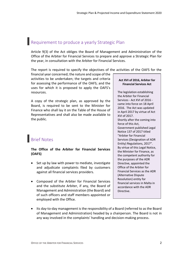### Requirement to produce a yearly Strategic Plan

Article 9(3) of the Act obliges the Board of Management and Administration of the Office of the Arbiter for Financial Services to prepare and approve a Strategic Plan for the year, in consultation with the Arbiter for Financial Services.

The report is required to specify the objectives of the activities of the OAFS for the

financial year concerned; the nature and scope of the activities to be undertaken; the targets and criteria for assessing the performance of the OAFS; and the uses for which it is proposed to apply the OAFS's resources.

A copy of the strategic plan, as approved by the Board, is required to be sent to the Minister for Finance who shall lay it on the Table of the House of Representatives and shall also be made available to the public.

## **Brief Notes**

#### **The Office of the Arbiter for Financial Services (OAFS)**

- Set up by law with power to mediate, investigate and adjudicate complaints filed by customers against all financial services providers.
- Composed of the Arbiter for Financial Services and the substitute Arbiter, if any, the Board of Management and Administration (the Board) and of such officers and staff members appointed or employed with the Office.

#### **Act XVI of 2016, Arbiter for Financial Services Act**

The legislation establishing the Arbiter for Financial Services - Act XVI of 2016 came into force on 18 April 2016. The Act was updated in April 2017 by virtue of Act XVI of 2017. Shortly after the coming into force of this Act, Government published Legal Notice 137 of 2017 titled "Arbiter for Financial Services (Designation of ADR Entity) Regulations, 2017". By virtue of this Legal Notice, the Minister for Finance, as the competent authority for the purposes of the ADR Directive, appointed the Office of the Arbiter for Financial Services as the ADR (Alternative Dispute Resolution) entity for financial services in Malta in accordance with the ADR Directive.

• Its day-to-day management is the responsibility of a Board (referred to as the Board of Management and Administration) headed by a chairperson. The Board is not in any way involved in the complaints' handling and decision-making process.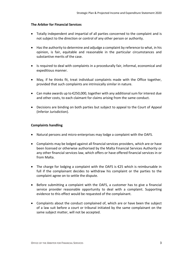#### **The Arbiter for Financial Services**

- Totally independent and impartial of all parties concerned to the complaint and is not subject to the direction or control of any other person or authority.
- Has the authority to determine and adjudge a complaint by reference to what, in his opinion, is fair, equitable and reasonable in the particular circumstances and substantive merits of the case.
- Is required to deal with complaints in a procedurally fair, informal, economical and expeditious manner.
- May, if he thinks fit, treat individual complaints made with the Office together, provided that such complaints are intrinsically similar in nature.
- Can make awards up to €250,000, together with any additional sum for interest due and other costs, to each claimant for claims arising from the same conduct.
- Decisions are binding on both parties but subject to appeal to the Court of Appeal (Inferior Jurisdiction).

#### **Complaints handling**

- Natural persons and micro-enterprises may lodge a complaint with the OAFS.
- Complaints may be lodged against all financial services providers, which are or have been licensed or otherwise authorised by the Malta Financial Services Authority or any other financial services law, which offers or have offered financial services in or from Malta.
- The charge for lodging a complaint with the OAFS is €25 which is reimbursable in full if the complainant decides to withdraw his complaint or the parties to the complaint agree on to settle the dispute.
- Before submitting a complaint with the OAFS, a customer has to give a financial service provider reasonable opportunity to deal with a complaint. Supporting evidence to this effect would be requested of the complainant.
- Complaints about the conduct complained of, which are or have been the subject of a law suit before a court or tribunal initiated by the same complainant on the same subject matter, will not be accepted.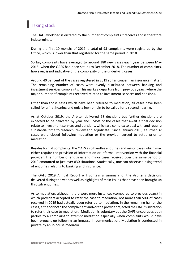# **Taking stock**

The OAFS workload is dictated by the number of complaints it receives and is therefore indeterminate.

During the first 10 months of 2019, a total of 93 complaints were registered by the Office, which is lower than that registered for the same period in 2018.

So far, complaints have averaged to around 180 new cases each year between May 2016 (when the OAFS had been setup) to December 2018. The number of complaints, however, is not indicative of the complexity of the underlying cases.

Around 40 per cent of the cases registered in 2019 so far concern an insurance matter. The remaining number of cases were evenly distributed between banking and investment services complaints. This marks a departure from previous years, where the major number of complaints received related to investment-services and pensions.

Other than those cases which have been referred to mediation, all cases have been called for a first hearing and only a few remain to be called for a second hearing.

As at October 2019, the Arbiter delivered 98 decisions but further decisions are expected to be delivered by year end. Most of the cases that await a final decision relate to investment services and pensions, which are complex to deal with and require substantial time to research, review and adjudicate. Since January 2019, a further 32 cases were closed following mediation or the provider agreed to settle prior to mediation.

Besides formal complaints, the OAFS also handles enquiries and minor cases which may either require the provision of information or informal intervention with the financial provider. The number of enquiries and minor cases received over the same period of 2019 amounted to just over 830 situations. Statistically, one can observe a rising trend of enquiries relating to banking and insurance.

The OAFS 2019 Annual Report will contain a summary of the Arbiter's decisions delivered during the year as well as highlights of main issues that have been brought up through enquiries.

As to mediation, although there were more instances (compared to previous years) in which providers accepted to refer the case to mediation, not more than 50% of cases received in 2019 had actually been referred to mediation. In the remaining half of the cases, either or both the complainant and/or the provider rejected the OAFS's invitation to refer their case to mediation. Mediation is voluntary but the OAFS encourages both parties to a complaint to attempt mediation especially when complaints would have been brought up following an impasse in communication. Mediation is conducted in private by an in-house mediator.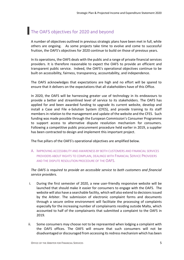### The OAFS objectives for 2020 and beyond

A number of objectives outlined in previous strategic plans have been met in full, while others are ongoing. As some projects take time to evolve and come to successful fruition, the OAFS's objectives for 2020 continue to build on those of previous years.

In its operations, the OAFS deals with the public and a range of private financial services providers. It is therefore reasonable to expect the OAFS to provide an efficient and transparent public service. Indeed, the OAFS's operational objectives continue to be built on accessibility, fairness, transparency, accountability, and independence.

The OAFS acknowledges that expectations are high and no effort will be spared to ensure that it delivers on the expectations that all stakeholders have of this Office.

In 2020, the OAFS will be harnessing greater use of technology in its endeavours to provide a better and streamlined level of service to its stakeholders. The OAFS has applied for and been awarded funding to upgrade its current website, develop and install a Case and File e-Solution System (CFES), and provide training to its staff members in relation to the management and update of the website and the CFES. Such funding was made possible through the European Commission's Consumer Programme to support access to alternative dispute resolution mechanism for consumers. Following a competitive public procurement procedure held earlier in 2019, a supplier has been contracted to design and implement this important project.

The five pillars of the OAFS's operational objectives are amplified below.

A. IMPROVING ACCESSIBILITY AND AWARENESS BY BOTH CUSTOMERS AND FINANCIAL SERVICES PROVIDERS ABOUT RIGHTS TO COMPLAIN, DEALINGS WITH FINANCIAL SERVICE PROVIDERS AND THE DISPUTE RESOLUTION PROCEDURE OF THE OAFS.

*The OAFS is required to provide an accessible service to both customers and financial service providers.* 

- i. During the first semester of 2020, a new user-friendly responsive website will be launched that should make it easier for consumers to engage with the OAFS. The website will also have a searchable facility, which will also extend to decisions issued by the Arbiter. The submission of electronic complaint forms and documents through a secure online environment will facilitate the processing of complaints especially for the increasing number of complainants residing outside Malta, which accounted to half of the complainants that submitted a complaint to the OAFS in 2019.
- ii. Some consumers may choose not to be represented when lodging a complaint with the OAFS offices. The OAFS will ensure that such consumers will not be disadvantaged or discouraged from accessing itsredress mechanism which has been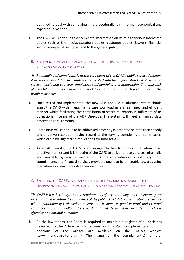designed to deal with complaints in a procedurally fair, informal, economical and expeditious manner.

iii. The OAFS will continue to disseminate information on its role to various interested bodies such as the media, statutory bodies, customer bodies, lawyers, financial sector representative bodies and to the general public.

#### B. RESOLVING COMPLAINTS IN ACCORDANCE WITH BEST PRACTICE AND THE HIGHEST STANDARDS OF CUSTOMER SERVICE

*As the handling of complaints is at the very heart of the OAFS's public service function, it must be ensured that such matters are treated with the highest standard of customer service – including courtesy, timeliness, confidentiality and impartiality. The approach of the OAFS in this area must be to seek to investigate and reach a resolution to the problem at issue.*

- i. Once tested and implemented, the new Case and File e-Solutions System should assist the OAFS with managing its case workload in a streamlined and efficient manner whilst facilitating the compilation of statistical reports in fulfilment of its obligations in terms of the ADR Directive. The system will meet enhanced data protection requirements.
- ii. Complaints will continue to be addressed promptly in order to facilitate their speedy and effective resolution having regard to the varying complexity of some cases, which can have significant implications for time scales.
- iii. As an ADR entity, the OAFS is encouraged by law to conduct mediation in an effective manner and it is the aim of the OAFS to strive to resolve cases informally and amicably by way of mediation. Although mediation is voluntary, both complainants and financial services providers ought to be amenable towards using mediation as a way to resolve their disputes.
	- C. EXECUTING THE OAFS'S ROLE AND INDEPENDENT FUNCTIONS IN A MANNER THAT IS TRANSPARENT AND ACCOUNTABLE AND TO LEAD BY EXAMPLE AS A MODEL OF BEST PRACTICE

*The OAFS is a public body, and the requirements of accountability and transparency are essential if it is to retain the confidence of the public. The OAFS's organisational structure will be continuously reviewed to ensure that it supports good internal and external communications, as well as the co-ordination of its activities, in order to achieve effective and optimal outcomes.* 

i. As the law stands, the Board is required to maintain a register of all decisions delivered by the Arbiter which become *res judicata*. Complementary to this, decisions of the Arbiter are available on the OAFS's website (www.financialarbiter.org.mt). The name of the complainant(s) is (are)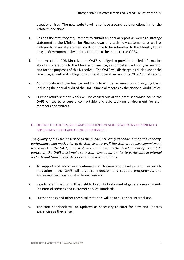pseudonymised. The new website will also have a searchable functionality for the Arbiter's decisions.

- ii. Besides the statutory requirement to submit an annual report as well as a strategy statement to the Minister for Finance, quarterly cash flow statements as well as half-yearly financial statements will continue to be submitted to the Ministry for as long as Government subventions continue to be made to the OAFS.
- iii. In terms of the ADR Directive, the OAFS is obliged to provide detailed information about its operations to the Minister of Finance, as competent authority in terms of and for the purposes of this Directive. The OAFS will discharge its duties under the Directive, as well as its obligations under its operative law, in its 2019 Annual Report.
- iv. Administration of the finance and HR role will be reviewed on an ongoing basis, including the annual audit of the OAFS financial records by the National Audit Office.
- v. Further refurbishment works will be carried out at the premises which house the OAFS offices to ensure a comfortable and safe working environment for staff members and visitors.
	- D. DEVELOP THE ABILITIES, SKILLS AND COMPETENCE OF STAFF SO AS TO ENSURE CONTINUED IMPROVEMENT IN ORGANISATIONAL PERFORMANCE

*The quality of the OAFS's service to the public is crucially dependent upon the capacity, performance and motivation of its staff. Moreover, if the staff are to give commitment to the work of the OAFS, it must show commitment to the development of its staff. In particular, the OAFS must make sure staff have opportunities to participate in internal and external training and development on a regular basis.* 

- i. To support and encourage continued staff training and development especially mediation – the OAFS will organise induction and support programmes, and encourage participation at external courses.
- ii. Regular staff briefings will be held to keep staff informed of general developments in financial services and customer service standards.
- iii. Further books and other technical materials will be acquired for internal use.
- iv. The staff handbook will be updated as necessary to cater for new and updates exigencies as they arise.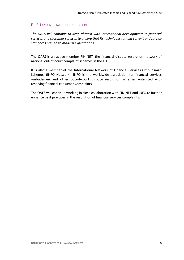#### E. EU AND INTERNATIONAL OBLIGATIONS

*The OAFS will continue to keep abreast with international developments in financial services and customer services to ensure that its techniques remain current and service standards primed to modern expectations.*

The OAFS is an active member FIN-NET, the financial dispute resolution network of national out-of-court complaint schemes in the EU.

It is also a member of the International Network of Financial Services Ombudsman Schemes (INFO Network). INFO is the worldwide association for financial services ombudsmen and other out-of-court dispute resolution schemes entrusted with resolving financial consumer Complaints.

The OAFS will continue working in close collaboration with FIN-NET and INFO to further enhance best practices in the resolution of financial services complaints.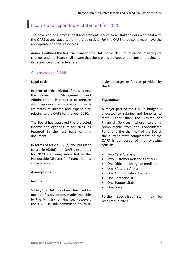### Income and Expenditure Statement for 2020

The provision of a professional and efficient service to all stakeholders who deal with the OAFS at any stage is a primary objective. For the OAFS to do so, it must have the appropriate financial resources.

Annex 1 outlines the financial plans for the OAFS for 2020. Circumstances may require changes and the Board shall ensure that these plans are kept under constant review for its relevance and effectiveness.

#### A. EXPLANATORY NOTES

#### **Legal basis**

In terms of article 9(2)(a) of the said Act, the Board of Management and Administration is required to prepare and approve a statement with estimates of income and expenditure relating to the OAFS for the year 2020.

The Board has approved the projected income and expenditure for 2020 (as featured in the last page of this document).

In terms of article 9(2)(c) and pursuant to article 9(2)(d), the OAFS's estimates for 2020 are being submitted to the Honourable Minister for Finance for his consideration.

#### **Assumptions**

#### *Income*

So far, the OAFS has been financed by means of subventions made available by the Ministry for Finance. However, the OAFS is still committed to raise levies, charges or fees as provided by the Act.

#### *Expenditure*

A major part of the OAFS's budget is allocated to salaries and benefits to staff. Other than the Arbiter for Financial Services (whose salary is reimbursable from the Consolidated Fund) and the chairman of the Board, the current staff complement of the OAFS is composed of the following officials:

- Two Case Analysts
- Two Customer Relations Officers
- One Officer in charge of mediation
- One PA to the Arbiter
- One Administrative Assistant
- One Receptionist
- One Support Staff
- One Driver

Further specialised staff may be recruited in 2020.